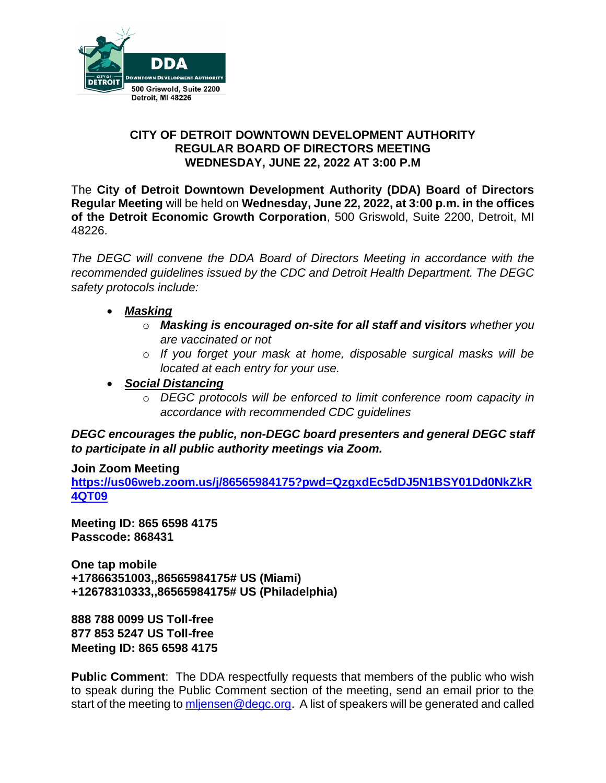

## **CITY OF DETROIT DOWNTOWN DEVELOPMENT AUTHORITY REGULAR BOARD OF DIRECTORS MEETING WEDNESDAY, JUNE 22, 2022 AT 3:00 P.M**

The **City of Detroit Downtown Development Authority (DDA) Board of Directors Regular Meeting** will be held on **Wednesday, June 22, 2022, at 3:00 p.m. in the offices of the Detroit Economic Growth Corporation**, 500 Griswold, Suite 2200, Detroit, MI 48226.

*The DEGC will convene the DDA Board of Directors Meeting in accordance with the recommended guidelines issued by the CDC and Detroit Health Department. The DEGC safety protocols include:*

- *Masking*
	- o *Masking is encouraged on-site for all staff and visitors whether you are vaccinated or not*
	- o *If you forget your mask at home, disposable surgical masks will be located at each entry for your use.*
- *Social Distancing* 
	- o *DEGC protocols will be enforced to limit conference room capacity in accordance with recommended CDC guidelines*

*DEGC encourages the public, non-DEGC board presenters and general DEGC staff to participate in all public authority meetings via Zoom.* 

**Join Zoom Meeting** 

**[https://us06web.zoom.us/j/86565984175?pwd=QzgxdEc5dDJ5N1BSY01Dd0NkZkR](https://us06web.zoom.us/j/86565984175?pwd=QzgxdEc5dDJ5N1BSY01Dd0NkZkR4QT09) [4QT09](https://us06web.zoom.us/j/86565984175?pwd=QzgxdEc5dDJ5N1BSY01Dd0NkZkR4QT09)**

**Meeting ID: 865 6598 4175 Passcode: 868431** 

**One tap mobile +17866351003,,86565984175# US (Miami) +12678310333,,86565984175# US (Philadelphia)** 

**888 788 0099 US Toll-free 877 853 5247 US Toll-free Meeting ID: 865 6598 4175**

**Public Comment:** The DDA respectfully requests that members of the public who wish to speak during the Public Comment section of the meeting, send an email prior to the start of the meeting to [mljensen@degc.org.](mailto:mljensen@degc.org) A list of speakers will be generated and called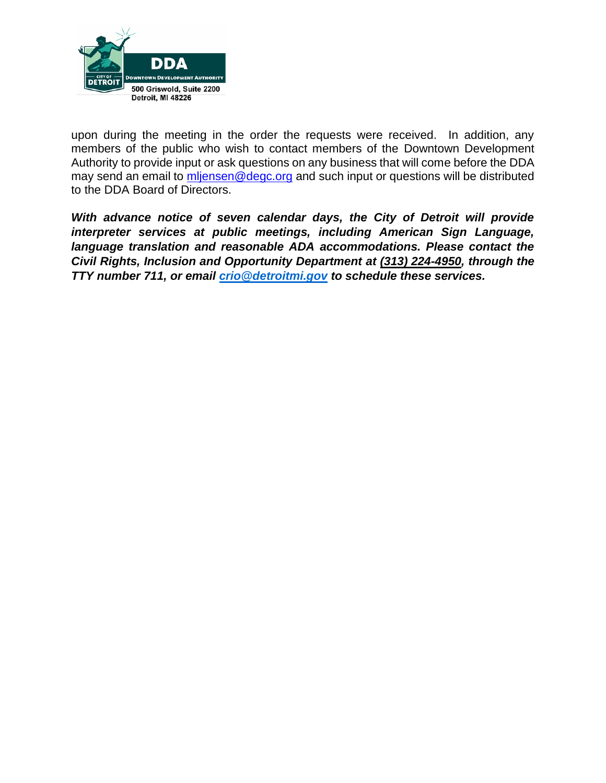

upon during the meeting in the order the requests were received. In addition, any members of the public who wish to contact members of the Downtown Development Authority to provide input or ask questions on any business that will come before the DDA may send an email to [mljensen@degc.org](mailto:mljensen@degc.org) and such input or questions will be distributed to the DDA Board of Directors.

*With advance notice of seven calendar days, the City of Detroit will provide interpreter services at public meetings, including American Sign Language, language translation and reasonable ADA accommodations. Please contact the Civil Rights, Inclusion and Opportunity Department at (313) 224-4950, through the TTY number 711, or email [crio@detroitmi.gov](mailto:crio@detroitmi.gov) to schedule these services.*